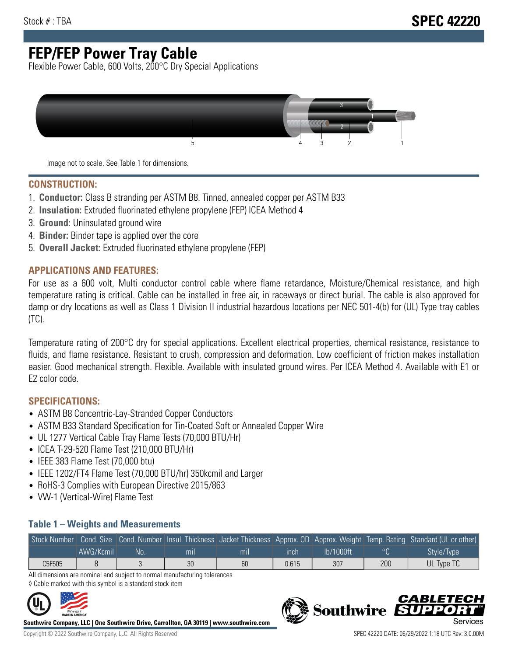# **FEP/FEP Power Tray Cable**

Flexible Power Cable, 600 Volts, 200°C Dry Special Applications



Image not to scale. See Table 1 for dimensions.

#### **CONSTRUCTION:**

- 1. **Conductor:** Class B stranding per ASTM B8. Tinned, annealed copper per ASTM B33
- 2. **Insulation:** Extruded fluorinated ethylene propylene (FEP) ICEA Method 4
- 3. **Ground:** Uninsulated ground wire
- 4. **Binder:** Binder tape is applied over the core
- 5. **Overall Jacket:** Extruded fluorinated ethylene propylene (FEP)

#### **APPLICATIONS AND FEATURES:**

For use as a 600 volt, Multi conductor control cable where flame retardance, Moisture/Chemical resistance, and high temperature rating is critical. Cable can be installed in free air, in raceways or direct burial. The cable is also approved for damp or dry locations as well as Class 1 Division II industrial hazardous locations per NEC 501-4(b) for (UL) Type tray cables (TC).

Temperature rating of 200°C dry for special applications. Excellent electrical properties, chemical resistance, resistance to fluids, and flame resistance. Resistant to crush, compression and deformation. Low coefficient of friction makes installation easier. Good mechanical strength. Flexible. Available with insulated ground wires. Per ICEA Method 4. Available with E1 or E2 color code.

### **SPECIFICATIONS:**

- ASTM B8 Concentric-Lay-Stranded Copper Conductors
- ASTM B33 Standard Specification for Tin-Coated Soft or Annealed Copper Wire
- UL 1277 Vertical Cable Tray Flame Tests (70,000 BTU/Hr)
- ICEA T-29-520 Flame Test (210,000 BTU/Hr)
- IEEE 383 Flame Test (70,000 btu)
- IEEE 1202/FT4 Flame Test (70,000 BTU/hr) 350kcmil and Larger
- RoHS-3 Complies with European Directive 2015/863
- VW-1 (Vertical-Wire) Flame Test

#### **Table 1 – Weights and Measurements**

|        |           |     |     |     |       |           |     | Stock Number Cond. Size Cond. Number Insul. Thickness Jacket Thickness Approx. OD Approx. Weight Temp. Rating Standard (UL or other) |
|--------|-----------|-----|-----|-----|-------|-----------|-----|--------------------------------------------------------------------------------------------------------------------------------------|
|        | AWG/Kcmil | No. | mıl | mil | ınch  | lb/1000ft |     | Style/Type                                                                                                                           |
| C5F505 |           |     | 30  | 60  | 0.615 | 307       | 200 | UL Type TC                                                                                                                           |

All dimensions are nominal and subject to normal manufacturing tolerances ◊ Cable marked with this symbol is a standard stock item



**Southwire Company, LLC | One Southwire Drive, Carrollton, GA 30119 | www.southwire.com**